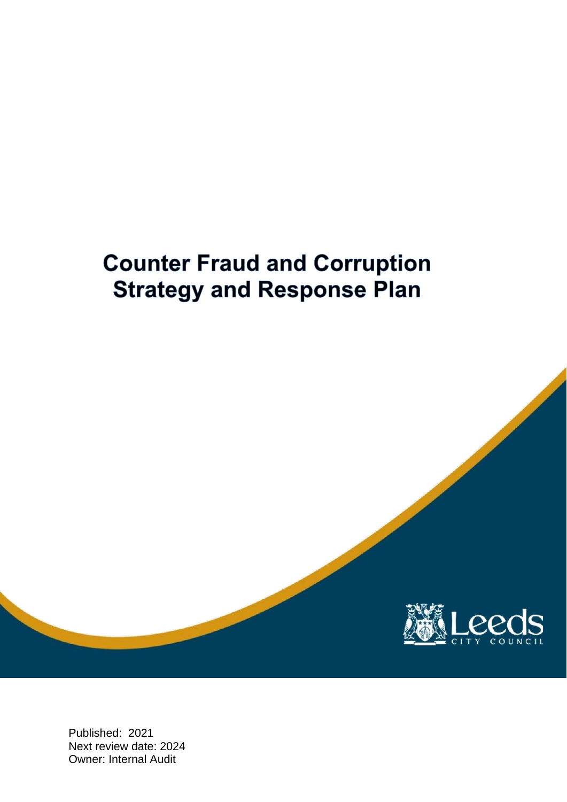# **Counter Fraud and Corruption Strategy and Response Plan**



Published: 2021 Next review date: 2024 Owner: Internal Audit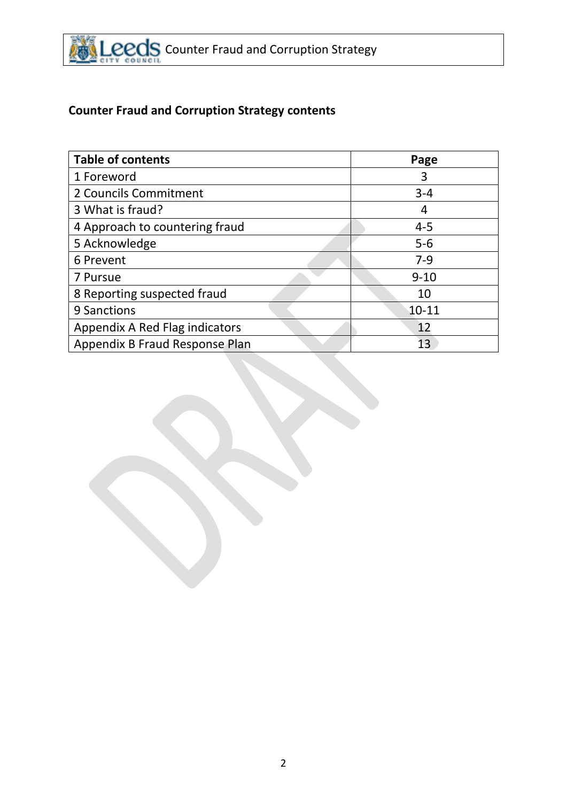

# **Counter Fraud and Corruption Strategy contents**

| <b>Table of contents</b>       | Page      |
|--------------------------------|-----------|
| 1 Foreword                     | 3         |
| 2 Councils Commitment          | $3 - 4$   |
| 3 What is fraud?               | 4         |
| 4 Approach to countering fraud | $4 - 5$   |
| 5 Acknowledge                  | $5-6$     |
| 6 Prevent                      | $7-9$     |
| 7 Pursue                       | $9 - 10$  |
| 8 Reporting suspected fraud    | 10        |
| 9 Sanctions                    | $10 - 11$ |
| Appendix A Red Flag indicators | 12        |
| Appendix B Fraud Response Plan | 13        |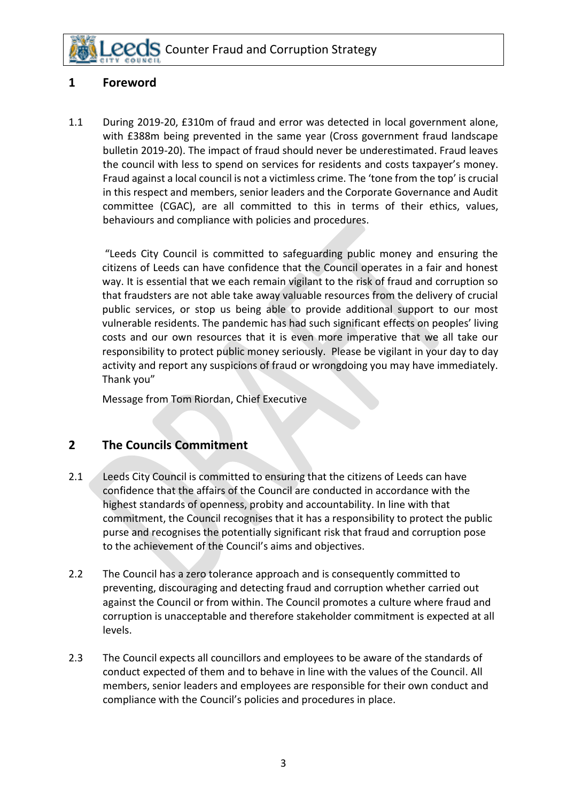### **1 Foreword**

1.1 During 2019-20, £310m of fraud and error was detected in local government alone, with £388m being prevented in the same year (Cross government fraud landscape bulletin 2019-20). The impact of fraud should never be underestimated. Fraud leaves the council with less to spend on services for residents and costs taxpayer's money. Fraud against a local council is not a victimless crime. The 'tone from the top' is crucial in this respect and members, senior leaders and the Corporate Governance and Audit committee (CGAC), are all committed to this in terms of their ethics, values, behaviours and compliance with policies and procedures.

"Leeds City Council is committed to safeguarding public money and ensuring the citizens of Leeds can have confidence that the Council operates in a fair and honest way. It is essential that we each remain vigilant to the risk of fraud and corruption so that fraudsters are not able take away valuable resources from the delivery of crucial public services, or stop us being able to provide additional support to our most vulnerable residents. The pandemic has had such significant effects on peoples' living costs and our own resources that it is even more imperative that we all take our responsibility to protect public money seriously. Please be vigilant in your day to day activity and report any suspicions of fraud or wrongdoing you may have immediately. Thank you"

Message from Tom Riordan, Chief Executive

#### **2 The Councils Commitment**

- 2.1 Leeds City Council is committed to ensuring that the citizens of Leeds can have confidence that the affairs of the Council are conducted in accordance with the highest standards of openness, probity and accountability. In line with that commitment, the Council recognises that it has a responsibility to protect the public purse and recognises the potentially significant risk that fraud and corruption pose to the achievement of the Council's aims and objectives.
- 2.2 The Council has a zero tolerance approach and is consequently committed to preventing, discouraging and detecting fraud and corruption whether carried out against the Council or from within. The Council promotes a culture where fraud and corruption is unacceptable and therefore stakeholder commitment is expected at all levels.
- 2.3 The Council expects all councillors and employees to be aware of the standards of conduct expected of them and to behave in line with the values of the Council. All members, senior leaders and employees are responsible for their own conduct and compliance with the Council's policies and procedures in place.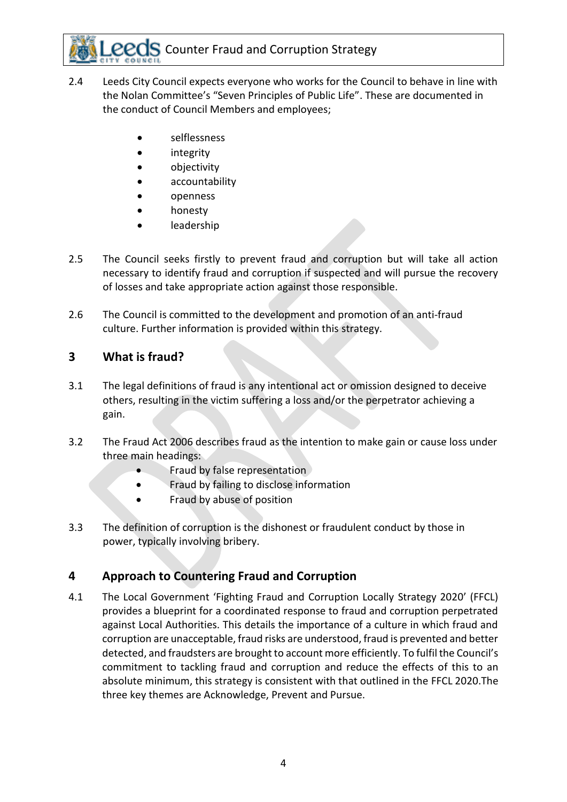- 2.4 Leeds City Council expects everyone who works for the Council to behave in line with the Nolan Committee's "Seven Principles of Public Life". These are documented in the conduct of Council Members and employees;
	- selflessness
	- integrity
	- objectivity
	- accountability
	- openness
	- honesty
	- leadership
- 2.5 The Council seeks firstly to prevent fraud and corruption but will take all action necessary to identify fraud and corruption if suspected and will pursue the recovery of losses and take appropriate action against those responsible.
- 2.6 The Council is committed to the development and promotion of an anti-fraud culture. Further information is provided within this strategy.

## **3 What is fraud?**

- 3.1 The legal definitions of fraud is any intentional act or omission designed to deceive others, resulting in the victim suffering a loss and/or the perpetrator achieving a gain.
- 3.2 The Fraud Act 2006 describes fraud as the intention to make gain or cause loss under three main headings:
	- Fraud by false representation
	- Fraud by failing to disclose information
	- Fraud by abuse of position
- 3.3 The definition of corruption is the dishonest or fraudulent conduct by those in power, typically involving bribery.

## **4 Approach to Countering Fraud and Corruption**

4.1 The Local Government 'Fighting Fraud and Corruption Locally Strategy 2020' (FFCL) provides a blueprint for a coordinated response to fraud and corruption perpetrated against Local Authorities. This details the importance of a culture in which fraud and corruption are unacceptable, fraud risks are understood, fraud is prevented and better detected, and fraudsters are brought to account more efficiently. To fulfil the Council's commitment to tackling fraud and corruption and reduce the effects of this to an absolute minimum, this strategy is consistent with that outlined in the FFCL 2020.The three key themes are Acknowledge, Prevent and Pursue.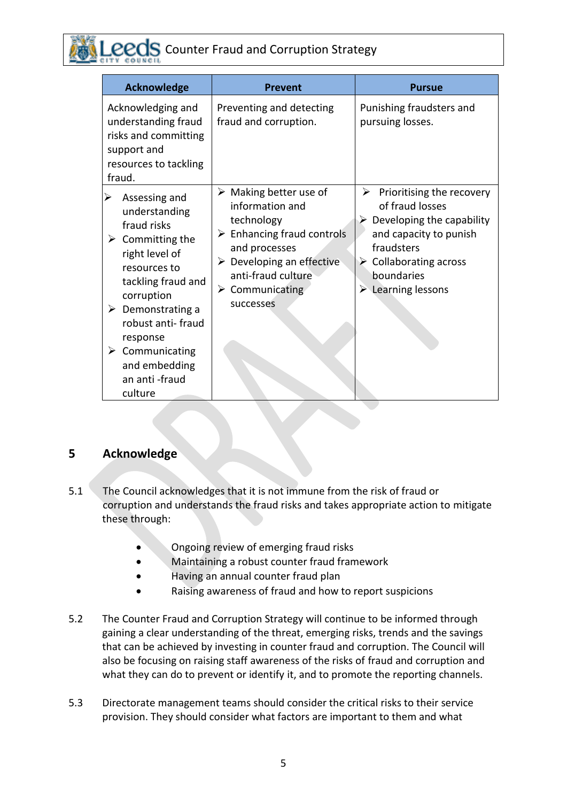| <b>Acknowledge</b>                                                                                                                                                                                                                                                                             | <b>Prevent</b>                                                                                                                                                                                                                                        | <b>Pursue</b>                                                                                                                                                                                                                       |
|------------------------------------------------------------------------------------------------------------------------------------------------------------------------------------------------------------------------------------------------------------------------------------------------|-------------------------------------------------------------------------------------------------------------------------------------------------------------------------------------------------------------------------------------------------------|-------------------------------------------------------------------------------------------------------------------------------------------------------------------------------------------------------------------------------------|
| Acknowledging and<br>understanding fraud<br>risks and committing<br>support and<br>resources to tackling<br>fraud.                                                                                                                                                                             | Preventing and detecting<br>fraud and corruption.                                                                                                                                                                                                     | Punishing fraudsters and<br>pursuing losses.                                                                                                                                                                                        |
| Assessing and<br>understanding<br>fraud risks<br>$\triangleright$ Committing the<br>right level of<br>resources to<br>tackling fraud and<br>corruption<br>$\triangleright$ Demonstrating a<br>robust anti-fraud<br>response<br>Communicating<br>≻<br>and embedding<br>an anti-fraud<br>culture | $\triangleright$ Making better use of<br>information and<br>technology<br>$\triangleright$ Enhancing fraud controls<br>and processes<br>$\triangleright$ Developing an effective<br>anti-fraud culture<br>$\triangleright$ Communicating<br>successes | Prioritising the recovery<br>➤<br>of fraud losses<br>$\triangleright$ Developing the capability<br>and capacity to punish<br>fraudsters<br>$\triangleright$ Collaborating across<br>boundaries<br>$\triangleright$ Learning lessons |

### **5 Acknowledge**

- 5.1 The Council acknowledges that it is not immune from the risk of fraud or corruption and understands the fraud risks and takes appropriate action to mitigate these through:
	- Ongoing review of emerging fraud risks
	- Maintaining a robust counter fraud framework
	- Having an annual counter fraud plan
	- Raising awareness of fraud and how to report suspicions
- 5.2 The Counter Fraud and Corruption Strategy will continue to be informed through gaining a clear understanding of the threat, emerging risks, trends and the savings that can be achieved by investing in counter fraud and corruption. The Council will also be focusing on raising staff awareness of the risks of fraud and corruption and what they can do to prevent or identify it, and to promote the reporting channels.
- 5.3 Directorate management teams should consider the critical risks to their service provision. They should consider what factors are important to them and what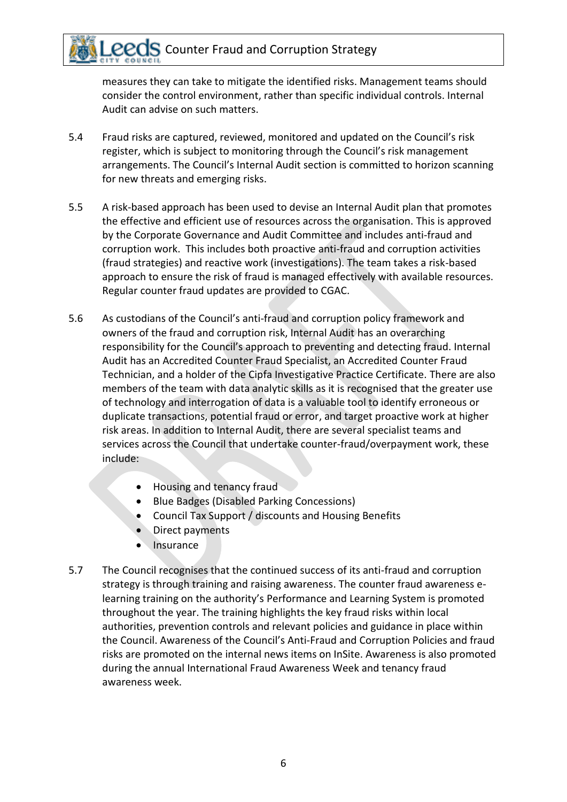measures they can take to mitigate the identified risks. Management teams should consider the control environment, rather than specific individual controls. Internal Audit can advise on such matters.

- 5.4 Fraud risks are captured, reviewed, monitored and updated on the Council's risk register, which is subject to monitoring through the Council's risk management arrangements. The Council's Internal Audit section is committed to horizon scanning for new threats and emerging risks.
- 5.5 A risk-based approach has been used to devise an Internal Audit plan that promotes the effective and efficient use of resources across the organisation. This is approved by the Corporate Governance and Audit Committee and includes anti-fraud and corruption work. This includes both proactive anti-fraud and corruption activities (fraud strategies) and reactive work (investigations). The team takes a risk-based approach to ensure the risk of fraud is managed effectively with available resources. Regular counter fraud updates are provided to CGAC.
- 5.6 As custodians of the Council's anti-fraud and corruption policy framework and owners of the fraud and corruption risk, Internal Audit has an overarching responsibility for the Council's approach to preventing and detecting fraud. Internal Audit has an Accredited Counter Fraud Specialist, an Accredited Counter Fraud Technician, and a holder of the Cipfa Investigative Practice Certificate. There are also members of the team with data analytic skills as it is recognised that the greater use of technology and interrogation of data is a valuable tool to identify erroneous or duplicate transactions, potential fraud or error, and target proactive work at higher risk areas. In addition to Internal Audit, there are several specialist teams and services across the Council that undertake counter-fraud/overpayment work, these include:
	- Housing and tenancy fraud
	- Blue Badges (Disabled Parking Concessions)
	- Council Tax Support / discounts and Housing Benefits
	- Direct payments
	- Insurance
- 5.7 The Council recognises that the continued success of its anti-fraud and corruption strategy is through training and raising awareness. The counter fraud awareness elearning training on the authority's Performance and Learning System is promoted throughout the year. The training highlights the key fraud risks within local authorities, prevention controls and relevant policies and guidance in place within the Council. Awareness of the Council's Anti-Fraud and Corruption Policies and fraud risks are promoted on the internal news items on InSite. Awareness is also promoted during the annual International Fraud Awareness Week and tenancy fraud awareness week.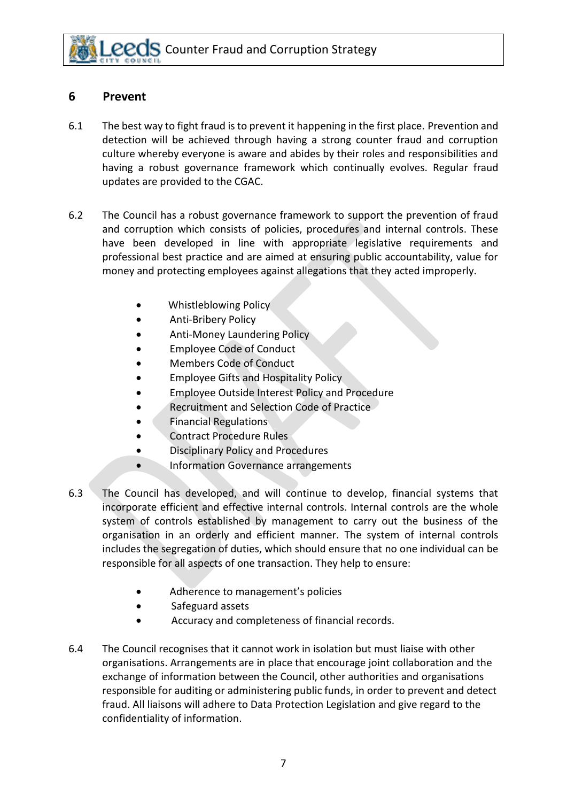#### **6 Prevent**

- 6.1 The best way to fight fraud is to prevent it happening in the first place. Prevention and detection will be achieved through having a strong counter fraud and corruption culture whereby everyone is aware and abides by their roles and responsibilities and having a robust governance framework which continually evolves. Regular fraud updates are provided to the CGAC.
- 6.2 The Council has a robust governance framework to support the prevention of fraud and corruption which consists of policies, procedures and internal controls. These have been developed in line with appropriate legislative requirements and professional best practice and are aimed at ensuring public accountability, value for money and protecting employees against allegations that they acted improperly.
	- Whistleblowing Policy
	- Anti-Bribery Policy
	- Anti-Money Laundering Policy
	- Employee Code of Conduct
	- Members Code of Conduct
	- Employee Gifts and Hospitality Policy
	- Employee Outside Interest Policy and Procedure
	- Recruitment and Selection Code of Practice
	- Financial Regulations
	- Contract Procedure Rules
	- Disciplinary Policy and Procedures
	- Information Governance arrangements
- 6.3 The Council has developed, and will continue to develop, financial systems that incorporate efficient and effective internal controls. Internal controls are the whole system of controls established by management to carry out the business of the organisation in an orderly and efficient manner. The system of internal controls includes the segregation of duties, which should ensure that no one individual can be responsible for all aspects of one transaction. They help to ensure:
	- Adherence to management's policies
	- Safeguard assets
	- Accuracy and completeness of financial records.
- 6.4 The Council recognises that it cannot work in isolation but must liaise with other organisations. Arrangements are in place that encourage joint collaboration and the exchange of information between the Council, other authorities and organisations responsible for auditing or administering public funds, in order to prevent and detect fraud. All liaisons will adhere to Data Protection Legislation and give regard to the confidentiality of information.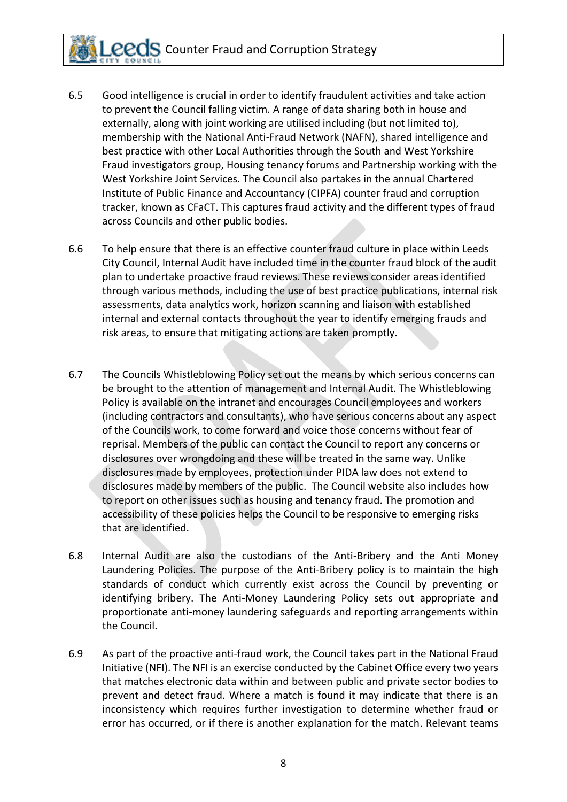- 6.5 Good intelligence is crucial in order to identify fraudulent activities and take action to prevent the Council falling victim. A range of data sharing both in house and externally, along with joint working are utilised including (but not limited to), membership with the National Anti-Fraud Network (NAFN), shared intelligence and best practice with other Local Authorities through the South and West Yorkshire Fraud investigators group, Housing tenancy forums and Partnership working with the West Yorkshire Joint Services*.* The Council also partakes in the annual Chartered Institute of Public Finance and Accountancy (CIPFA) counter fraud and corruption tracker, known as CFaCT. This captures fraud activity and the different types of fraud across Councils and other public bodies.
- 6.6 To help ensure that there is an effective counter fraud culture in place within Leeds City Council, Internal Audit have included time in the counter fraud block of the audit plan to undertake proactive fraud reviews. These reviews consider areas identified through various methods, including the use of best practice publications, internal risk assessments, data analytics work, horizon scanning and liaison with established internal and external contacts throughout the year to identify emerging frauds and risk areas, to ensure that mitigating actions are taken promptly.
- 6.7 The Councils Whistleblowing Policy set out the means by which serious concerns can be brought to the attention of management and Internal Audit. The Whistleblowing Policy is available on the intranet and encourages Council employees and workers (including contractors and consultants), who have serious concerns about any aspect of the Councils work, to come forward and voice those concerns without fear of reprisal. Members of the public can contact the Council to report any concerns or disclosures over wrongdoing and these will be treated in the same way. Unlike disclosures made by employees, protection under PIDA law does not extend to disclosures made by members of the public. The Council website also includes how to report on other issues such as housing and tenancy fraud. The promotion and accessibility of these policies helps the Council to be responsive to emerging risks that are identified.
- 6.8 Internal Audit are also the custodians of the Anti-Bribery and the Anti Money Laundering Policies. The purpose of the Anti-Bribery policy is to maintain the high standards of conduct which currently exist across the Council by preventing or identifying bribery. The Anti-Money Laundering Policy sets out appropriate and proportionate anti-money laundering safeguards and reporting arrangements within the Council.
- 6.9 As part of the proactive anti-fraud work, the Council takes part in the National Fraud Initiative (NFI). The NFI is an exercise conducted by the Cabinet Office every two years that matches electronic data within and between public and private sector bodies to prevent and detect fraud. Where a match is found it may indicate that there is an inconsistency which requires further investigation to determine whether fraud or error has occurred, or if there is another explanation for the match. Relevant teams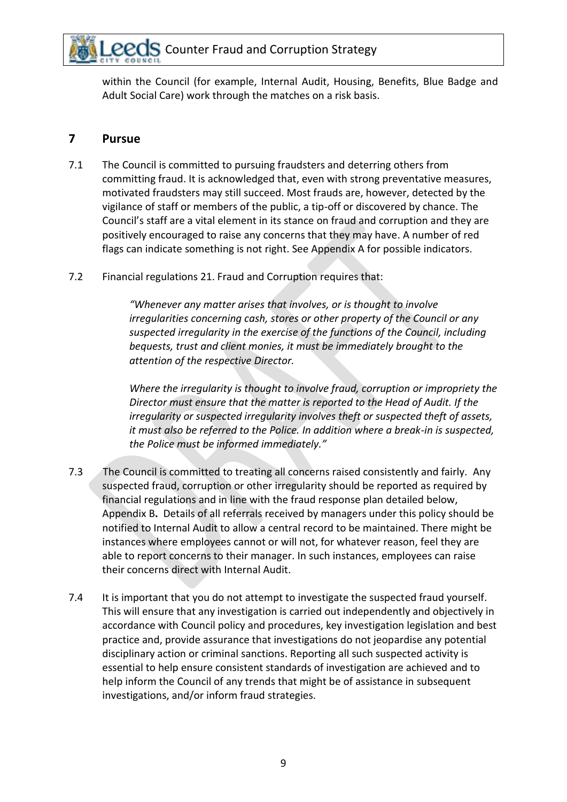within the Council (for example, Internal Audit, Housing, Benefits, Blue Badge and Adult Social Care) work through the matches on a risk basis.

#### **7 Pursue**

- 7.1 The Council is committed to pursuing fraudsters and deterring others from committing fraud. It is acknowledged that, even with strong preventative measures, motivated fraudsters may still succeed. Most frauds are, however, detected by the vigilance of staff or members of the public, a tip-off or discovered by chance. The Council's staff are a vital element in its stance on fraud and corruption and they are positively encouraged to raise any concerns that they may have. A number of red flags can indicate something is not right. See Appendix A for possible indicators.
- 7.2 Financial regulations 21. Fraud and Corruption requires that:

*"Whenever any matter arises that involves, or is thought to involve irregularities concerning cash, stores or other property of the Council or any suspected irregularity in the exercise of the functions of the Council, including bequests, trust and client monies, it must be immediately brought to the attention of the respective Director.* 

*Where the irregularity is thought to involve fraud, corruption or impropriety the Director must ensure that the matter is reported to the Head of Audit. If the irregularity or suspected irregularity involves theft or suspected theft of assets, it must also be referred to the Police. In addition where a break-in is suspected, the Police must be informed immediately."*

- 7.3 The Council is committed to treating all concerns raised consistently and fairly. Any suspected fraud, corruption or other irregularity should be reported as required by financial regulations and in line with the fraud response plan detailed below, Appendix B**.** Details of all referrals received by managers under this policy should be notified to Internal Audit to allow a central record to be maintained. There might be instances where employees cannot or will not, for whatever reason, feel they are able to report concerns to their manager. In such instances, employees can raise their concerns direct with Internal Audit.
- 7.4 It is important that you do not attempt to investigate the suspected fraud yourself. This will ensure that any investigation is carried out independently and objectively in accordance with Council policy and procedures, key investigation legislation and best practice and, provide assurance that investigations do not jeopardise any potential disciplinary action or criminal sanctions. Reporting all such suspected activity is essential to help ensure consistent standards of investigation are achieved and to help inform the Council of any trends that might be of assistance in subsequent investigations, and/or inform fraud strategies.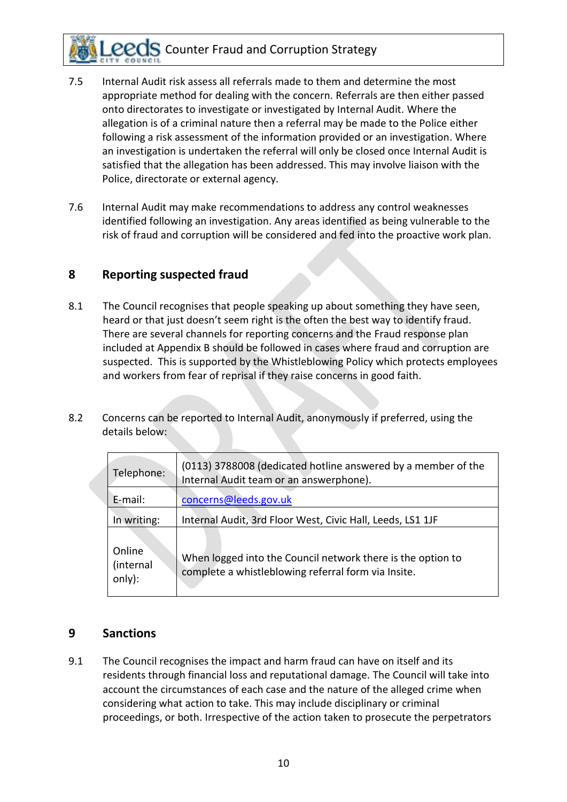- 7.5 Internal Audit risk assess all referrals made to them and determine the most appropriate method for dealing with the concern. Referrals are then either passed onto directorates to investigate or investigated by Internal Audit. Where the allegation is of a criminal nature then a referral may be made to the Police either following a risk assessment of the information provided or an investigation. Where an investigation is undertaken the referral will only be closed once Internal Audit is satisfied that the allegation has been addressed. This may involve liaison with the Police, directorate or external agency.
- 7.6 Internal Audit may make recommendations to address any control weaknesses identified following an investigation. Any areas identified as being vulnerable to the risk of fraud and corruption will be considered and fed into the proactive work plan.

#### **8 Reporting suspected fraud**

- 8.1 The Council recognises that people speaking up about something they have seen, heard or that just doesn't seem right is the often the best way to identify fraud. There are several channels for reporting concerns and the Fraud response plan included at Appendix B should be followed in cases where fraud and corruption are suspected. This is supported by the Whistleblowing Policy which protects employees and workers from fear of reprisal if they raise concerns in good faith.
- 8.2 Concerns can be reported to Internal Audit, anonymously if preferred, using the details below:

| Telephone:                    | (0113) 3788008 (dedicated hotline answered by a member of the<br>Internal Audit team or an answerphone).           |
|-------------------------------|--------------------------------------------------------------------------------------------------------------------|
| E-mail:                       | concerns@leeds.gov.uk                                                                                              |
| In writing:                   | Internal Audit, 3rd Floor West, Civic Hall, Leeds, LS1 1JF                                                         |
| Online<br>(internal<br>only): | When logged into the Council network there is the option to<br>complete a whistleblowing referral form via Insite. |

### **9 Sanctions**

9.1 The Council recognises the impact and harm fraud can have on itself and its residents through financial loss and reputational damage. The Council will take into account the circumstances of each case and the nature of the alleged crime when considering what action to take. This may include disciplinary or criminal proceedings, or both. Irrespective of the action taken to prosecute the perpetrators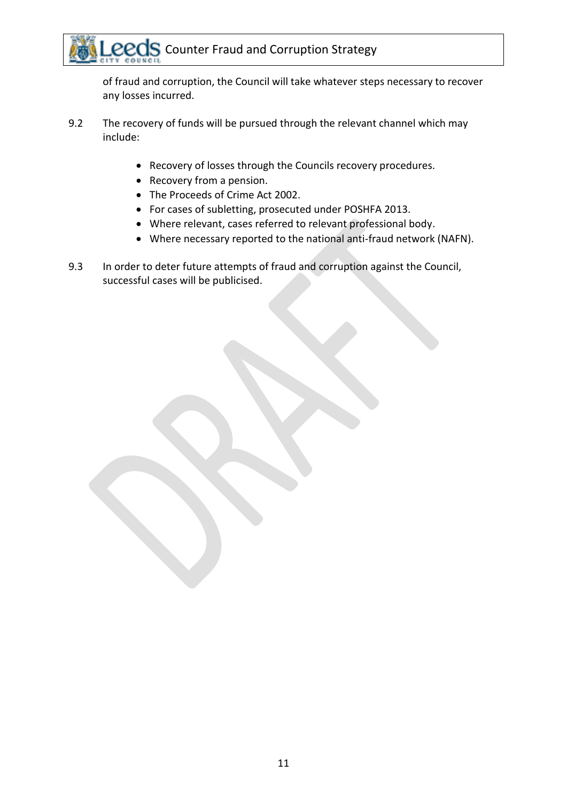of fraud and corruption, the Council will take whatever steps necessary to recover any losses incurred.

- 9.2 The recovery of funds will be pursued through the relevant channel which may include:
	- Recovery of losses through the Councils recovery procedures.
	- Recovery from a pension.
	- The Proceeds of Crime Act 2002.
	- For cases of subletting, prosecuted under POSHFA 2013.
	- Where relevant, cases referred to relevant professional body.
	- Where necessary reported to the national anti-fraud network (NAFN).
- 9.3 In order to deter future attempts of fraud and corruption against the Council, successful cases will be publicised.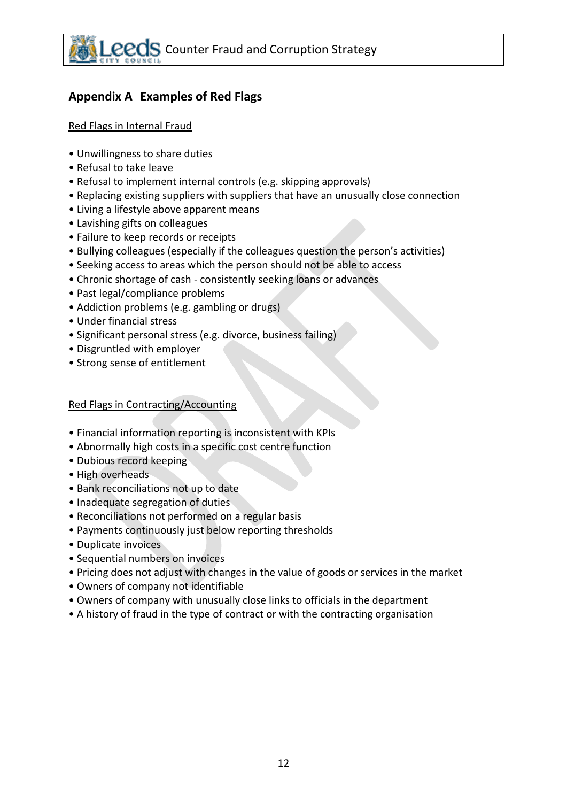## **Appendix A Examples of Red Flags**

#### Red Flags in Internal Fraud

- Unwillingness to share duties
- Refusal to take leave
- Refusal to implement internal controls (e.g. skipping approvals)
- Replacing existing suppliers with suppliers that have an unusually close connection
- Living a lifestyle above apparent means
- Lavishing gifts on colleagues
- Failure to keep records or receipts
- Bullying colleagues (especially if the colleagues question the person's activities)
- Seeking access to areas which the person should not be able to access
- Chronic shortage of cash consistently seeking loans or advances
- Past legal/compliance problems
- Addiction problems (e.g. gambling or drugs)
- Under financial stress
- Significant personal stress (e.g. divorce, business failing)
- Disgruntled with employer
- Strong sense of entitlement

#### Red Flags in Contracting/Accounting

- Financial information reporting is inconsistent with KPIs
- Abnormally high costs in a specific cost centre function
- Dubious record keeping
- High overheads
- Bank reconciliations not up to date
- Inadequate segregation of duties
- Reconciliations not performed on a regular basis
- Payments continuously just below reporting thresholds
- Duplicate invoices
- Sequential numbers on invoices
- Pricing does not adjust with changes in the value of goods or services in the market
- Owners of company not identifiable
- Owners of company with unusually close links to officials in the department
- A history of fraud in the type of contract or with the contracting organisation